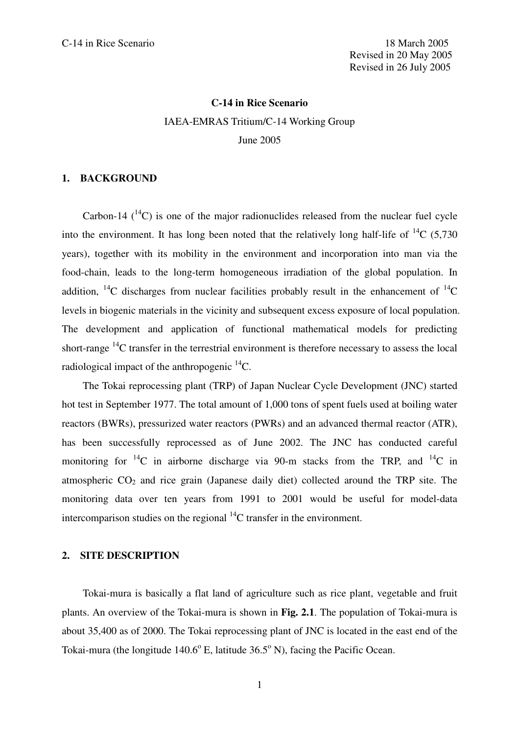### **C-14 in Rice Scenario**

IAEA-EMRAS Tritium/C-14 Working Group June 2005

#### **1. BACKGROUND**

Carbon-14  $(^{14}C)$  is one of the major radionuclides released from the nuclear fuel cycle into the environment. It has long been noted that the relatively long half-life of  $^{14}C$  (5,730) years), together with its mobility in the environment and incorporation into man via the food-chain, leads to the long-term homogeneous irradiation of the global population. In addition,  $^{14}$ C discharges from nuclear facilities probably result in the enhancement of  $^{14}$ C levels in biogenic materials in the vicinity and subsequent excess exposure of local population. The development and application of functional mathematical models for predicting short-range  $^{14}$ C transfer in the terrestrial environment is therefore necessary to assess the local radiological impact of the anthropogenic <sup>14</sup>C.

The Tokai reprocessing plant (TRP) of Japan Nuclear Cycle Development (JNC) started hot test in September 1977. The total amount of 1,000 tons of spent fuels used at boiling water reactors (BWRs), pressurized water reactors (PWRs) and an advanced thermal reactor (ATR), has been successfully reprocessed as of June 2002. The JNC has conducted careful monitoring for  ${}^{14}C$  in airborne discharge via 90-m stacks from the TRP, and  ${}^{14}C$  in atmospheric  $CO<sub>2</sub>$  and rice grain (Japanese daily diet) collected around the TRP site. The monitoring data over ten years from 1991 to 2001 would be useful for model-data intercomparison studies on the regional  $^{14}$ C transfer in the environment.

#### **2. SITE DESCRIPTION**

Tokai-mura is basically a flat land of agriculture such as rice plant, vegetable and fruit plants. An overview of the Tokai-mura is shown in **Fig. 2.1**. The population of Tokai-mura is about 35,400 as of 2000. The Tokai reprocessing plant of JNC is located in the east end of the Tokai-mura (the longitude  $140.6^{\circ}$  E, latitude  $36.5^{\circ}$  N), facing the Pacific Ocean.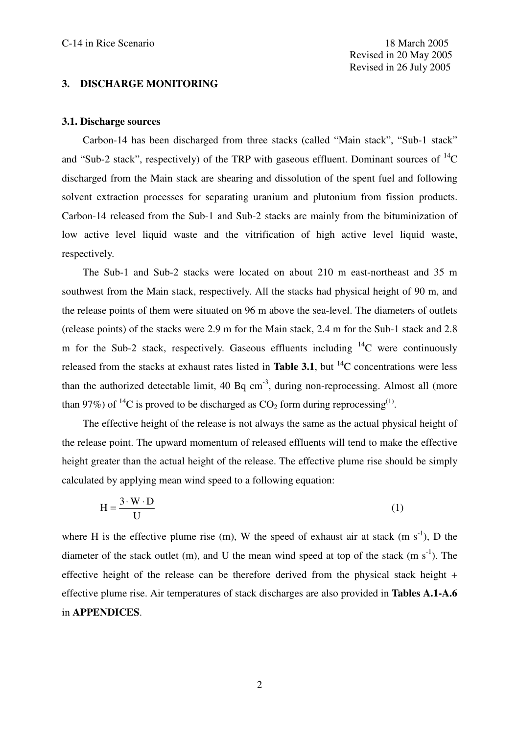# **3. DISCHARGE MONITORING**

#### **3.1. Discharge sources**

Carbon-14 has been discharged from three stacks (called "Main stack", "Sub-1 stack" and "Sub-2 stack", respectively) of the TRP with gaseous effluent. Dominant sources of  ${}^{14}C$ discharged from the Main stack are shearing and dissolution of the spent fuel and following solvent extraction processes for separating uranium and plutonium from fission products. Carbon-14 released from the Sub-1 and Sub-2 stacks are mainly from the bituminization of low active level liquid waste and the vitrification of high active level liquid waste, respectively.

The Sub-1 and Sub-2 stacks were located on about 210 m east-northeast and 35 m southwest from the Main stack, respectively. All the stacks had physical height of 90 m, and the release points of them were situated on 96 m above the sea-level. The diameters of outlets (release points) of the stacks were 2.9 m for the Main stack, 2.4 m for the Sub-1 stack and 2.8 m for the Sub-2 stack, respectively. Gaseous effluents including  $^{14}$ C were continuously released from the stacks at exhaust rates listed in **Table 3.1**, but <sup>14</sup>C concentrations were less than the authorized detectable limit,  $40$  Bq cm<sup>-3</sup>, during non-reprocessing. Almost all (more than 97%) of <sup>14</sup>C is proved to be discharged as  $CO_2$  form during reprocessing<sup>(1)</sup>.

The effective height of the release is not always the same as the actual physical height of the release point. The upward momentum of released effluents will tend to make the effective height greater than the actual height of the release. The effective plume rise should be simply calculated by applying mean wind speed to a following equation:

$$
H = \frac{3 \cdot W \cdot D}{U}
$$
 (1)

where H is the effective plume rise (m), W the speed of exhaust air at stack (m  $s^{-1}$ ), D the diameter of the stack outlet (m), and U the mean wind speed at top of the stack (m  $s^{-1}$ ). The effective height of the release can be therefore derived from the physical stack height + effective plume rise. Air temperatures of stack discharges are also provided in **Tables A.1-A.6** in **APPENDICES**.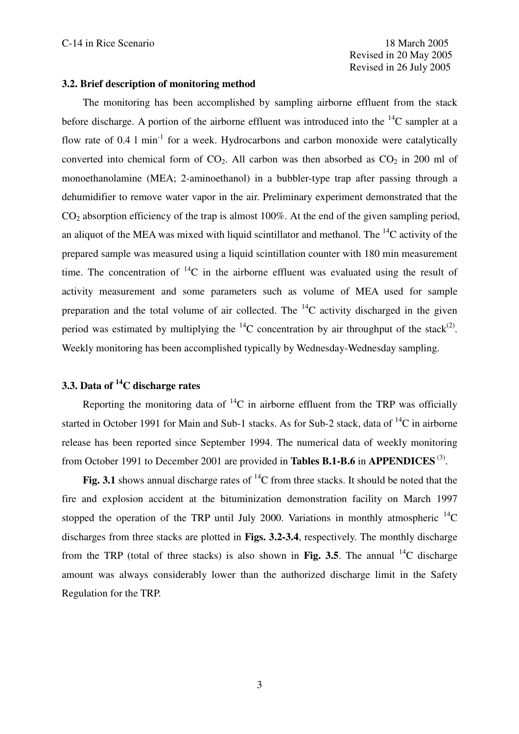# **3.2. Brief description of monitoring method**

The monitoring has been accomplished by sampling airborne effluent from the stack before discharge. A portion of the airborne effluent was introduced into the  $^{14}$ C sampler at a flow rate of 0.4  $1$  min<sup>-1</sup> for a week. Hydrocarbons and carbon monoxide were catalytically converted into chemical form of  $CO<sub>2</sub>$ . All carbon was then absorbed as  $CO<sub>2</sub>$  in 200 ml of monoethanolamine (MEA; 2-aminoethanol) in a bubbler-type trap after passing through a dehumidifier to remove water vapor in the air. Preliminary experiment demonstrated that the  $CO<sub>2</sub>$  absorption efficiency of the trap is almost 100%. At the end of the given sampling period, an aliquot of the MEA was mixed with liquid scintillator and methanol. The  $^{14}C$  activity of the prepared sample was measured using a liquid scintillation counter with 180 min measurement time. The concentration of  ${}^{14}C$  in the airborne effluent was evaluated using the result of activity measurement and some parameters such as volume of MEA used for sample preparation and the total volume of air collected. The  $^{14}$ C activity discharged in the given period was estimated by multiplying the  ${}^{14}C$  concentration by air throughput of the stack<sup>(2)</sup>. Weekly monitoring has been accomplished typically by Wednesday-Wednesday sampling.

# **3.3. Data of <sup>14</sup>C discharge rates**

Reporting the monitoring data of  ${}^{14}C$  in airborne effluent from the TRP was officially started in October 1991 for Main and Sub-1 stacks. As for Sub-2 stack, data of  $^{14}C$  in airborne release has been reported since September 1994. The numerical data of weekly monitoring from October 1991 to December 2001 are provided in **Tables B.1-B.6** in **APPENDICES** (3) .

Fig. 3.1 shows annual discharge rates of  ${}^{14}C$  from three stacks. It should be noted that the fire and explosion accident at the bituminization demonstration facility on March 1997 stopped the operation of the TRP until July 2000. Variations in monthly atmospheric  $^{14}$ C discharges from three stacks are plotted in **Figs. 3.2-3.4**, respectively. The monthly discharge from the TRP (total of three stacks) is also shown in **Fig. 3.5**. The annual <sup>14</sup>C discharge amount was always considerably lower than the authorized discharge limit in the Safety Regulation for the TRP.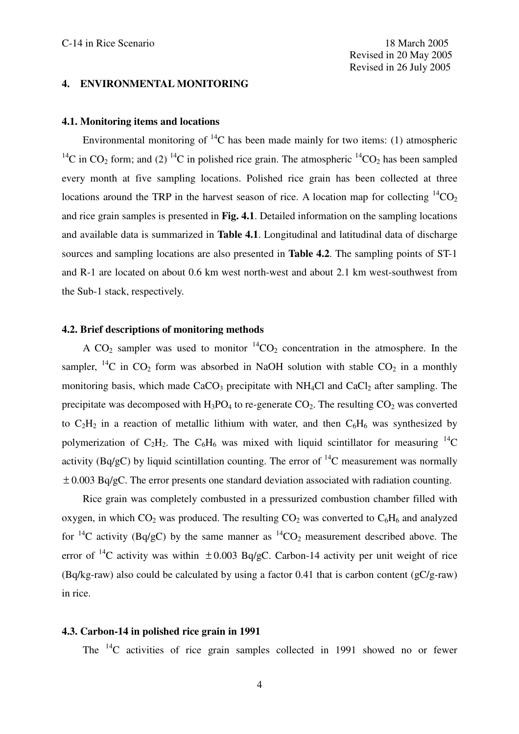## **4. ENVIRONMENTAL MONITORING**

# **4.1. Monitoring items and locations**

Environmental monitoring of  ${}^{14}C$  has been made mainly for two items: (1) atmospheric <sup>14</sup>C in CO<sub>2</sub> form; and (2) <sup>14</sup>C in polished rice grain. The atmospheric <sup>14</sup>CO<sub>2</sub> has been sampled every month at five sampling locations. Polished rice grain has been collected at three locations around the TRP in the harvest season of rice. A location map for collecting  ${}^{14}CO_2$ and rice grain samples is presented in **Fig. 4.1**. Detailed information on the sampling locations and available data is summarized in **Table 4.1**. Longitudinal and latitudinal data of discharge sources and sampling locations are also presented in **Table 4.2**. The sampling points of ST-1 and R-1 are located on about 0.6 km west north-west and about 2.1 km west-southwest from the Sub-1 stack, respectively.

# **4.2. Brief descriptions of monitoring methods**

A CO<sub>2</sub> sampler was used to monitor  ${}^{14}CO_2$  concentration in the atmosphere. In the sampler, <sup>14</sup>C in CO<sub>2</sub> form was absorbed in NaOH solution with stable CO<sub>2</sub> in a monthly monitoring basis, which made  $CaCO<sub>3</sub>$  precipitate with NH<sub>4</sub>Cl and  $CaCl<sub>2</sub>$  after sampling. The precipitate was decomposed with  $H_3PO_4$  to re-generate  $CO_2$ . The resulting  $CO_2$  was converted to  $C_2H_2$  in a reaction of metallic lithium with water, and then  $C_6H_6$  was synthesized by polymerization of  $C_2H_2$ . The  $C_6H_6$  was mixed with liquid scintillator for measuring <sup>14</sup>C activity (Bq/gC) by liquid scintillation counting. The error of  $^{14}$ C measurement was normally  $\pm$  0.003 Bq/gC. The error presents one standard deviation associated with radiation counting.

Rice grain was completely combusted in a pressurized combustion chamber filled with oxygen, in which  $CO_2$  was produced. The resulting  $CO_2$  was converted to  $C_6H_6$  and analyzed for  ${}^{14}C$  activity (Bq/gC) by the same manner as  ${}^{14}CO_2$  measurement described above. The error of <sup>14</sup>C activity was within  $\pm 0.003$  Bq/gC. Carbon-14 activity per unit weight of rice (Bq/kg-raw) also could be calculated by using a factor 0.41 that is carbon content (gC/g-raw) in rice.

#### **4.3. Carbon-14 in polished rice grain in 1991**

The  $^{14}$ C activities of rice grain samples collected in 1991 showed no or fewer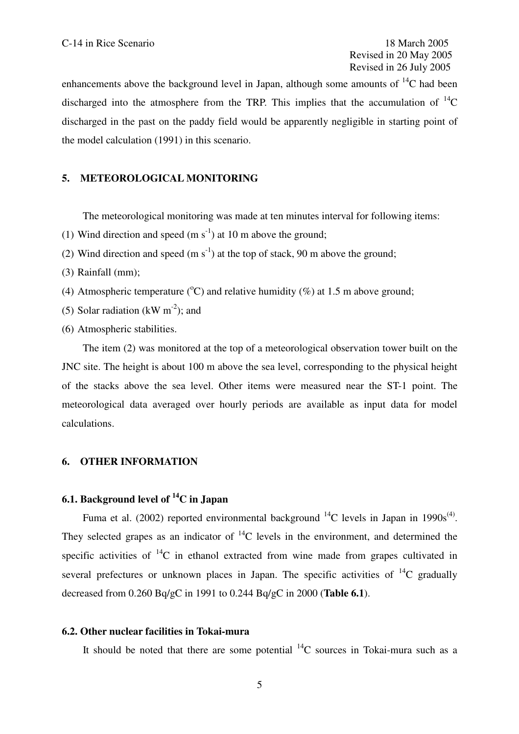enhancements above the background level in Japan, although some amounts of  $^{14}C$  had been discharged into the atmosphere from the TRP. This implies that the accumulation of  ${}^{14}$ C discharged in the past on the paddy field would be apparently negligible in starting point of the model calculation (1991) in this scenario.

## **5. METEOROLOGICAL MONITORING**

The meteorological monitoring was made at ten minutes interval for following items:

- (1) Wind direction and speed  $(m s<sup>-1</sup>)$  at 10 m above the ground;
- (2) Wind direction and speed  $(m s<sup>-1</sup>)$  at the top of stack, 90 m above the ground;
- (3) Rainfall (mm);
- (4) Atmospheric temperature ( $^{\circ}$ C) and relative humidity (%) at 1.5 m above ground;
- (5) Solar radiation (kW  $m^{-2}$ ); and
- (6) Atmospheric stabilities.

The item (2) was monitored at the top of a meteorological observation tower built on the JNC site. The height is about 100 m above the sea level, corresponding to the physical height of the stacks above the sea level. Other items were measured near the ST-1 point. The meteorological data averaged over hourly periods are available as input data for model calculations.

### **6. OTHER INFORMATION**

# **6.1. Background level of <sup>14</sup>C in Japan**

Fuma et al. (2002) reported environmental background  $^{14}$ C levels in Japan in 1990s<sup>(4)</sup>. They selected grapes as an indicator of  $^{14}$ C levels in the environment, and determined the specific activities of  ${}^{14}C$  in ethanol extracted from wine made from grapes cultivated in several prefectures or unknown places in Japan. The specific activities of  ${}^{14}C$  gradually decreased from 0.260 Bq/gC in 1991 to 0.244 Bq/gC in 2000 (**Table 6.1**).

#### **6.2. Other nuclear facilities in Tokai-mura**

It should be noted that there are some potential  $^{14}$ C sources in Tokai-mura such as a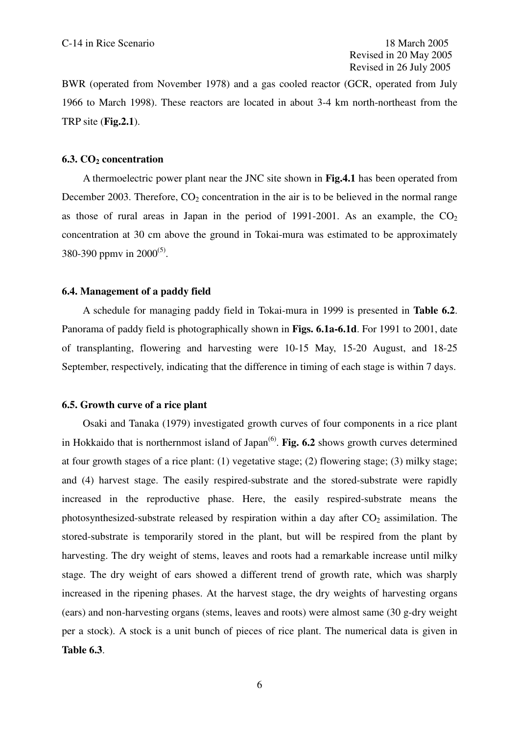BWR (operated from November 1978) and a gas cooled reactor (GCR, operated from July 1966 to March 1998). These reactors are located in about 3-4 km north-northeast from the TRP site (**Fig.2.1**).

## **6.3. CO<sup>2</sup> concentration**

A thermoelectric power plant near the JNC site shown in **Fig.4.1** has been operated from December 2003. Therefore,  $CO<sub>2</sub>$  concentration in the air is to be believed in the normal range as those of rural areas in Japan in the period of 1991-2001. As an example, the  $CO<sub>2</sub>$ concentration at 30 cm above the ground in Tokai-mura was estimated to be approximately 380-390 ppmv in  $2000^{(5)}$ .

# **6.4. Management of a paddy field**

A schedule for managing paddy field in Tokai-mura in 1999 is presented in **Table 6.2**. Panorama of paddy field is photographically shown in **Figs. 6.1a-6.1d**. For 1991 to 2001, date of transplanting, flowering and harvesting were 10-15 May, 15-20 August, and 18-25 September, respectively, indicating that the difference in timing of each stage is within 7 days.

## **6.5. Growth curve of a rice plant**

Osaki and Tanaka (1979) investigated growth curves of four components in a rice plant in Hokkaido that is northernmost island of Japan (6) . **Fig. 6.2** shows growth curves determined at four growth stages of a rice plant: (1) vegetative stage; (2) flowering stage; (3) milky stage; and (4) harvest stage. The easily respired-substrate and the stored-substrate were rapidly increased in the reproductive phase. Here, the easily respired-substrate means the photosynthesized-substrate released by respiration within a day after  $CO<sub>2</sub>$  assimilation. The stored-substrate is temporarily stored in the plant, but will be respired from the plant by harvesting. The dry weight of stems, leaves and roots had a remarkable increase until milky stage. The dry weight of ears showed a different trend of growth rate, which was sharply increased in the ripening phases. At the harvest stage, the dry weights of harvesting organs (ears) and non-harvesting organs (stems, leaves and roots) were almost same (30 g-dry weight per a stock). A stock is a unit bunch of pieces of rice plant. The numerical data is given in **Table 6.3**.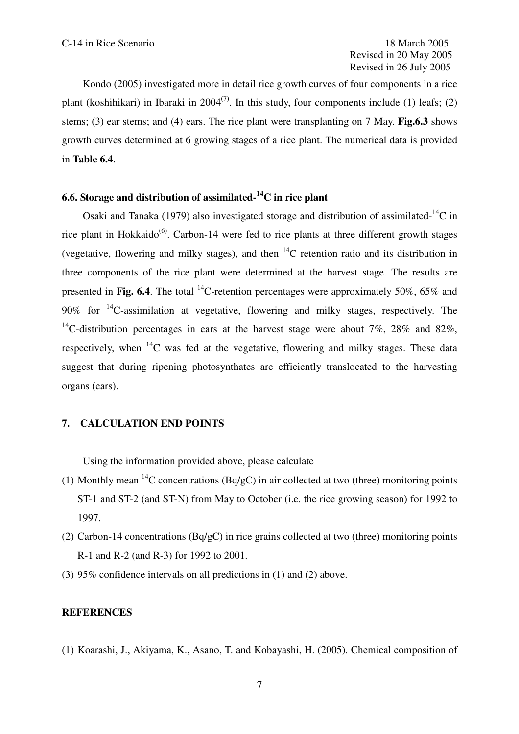Kondo (2005) investigated more in detail rice growth curves of four components in a rice plant (koshihikari) in Ibaraki in  $2004^{(7)}$ . In this study, four components include (1) leafs; (2) stems; (3) ear stems; and (4) ears. The rice plant were transplanting on 7 May. **Fig.6.3** shows growth curves determined at 6 growing stages of a rice plant. The numerical data is provided in **Table 6.4**.

# **6.6. Storage and distribution of assimilated-<sup>14</sup>C in rice plant**

Osaki and Tanaka (1979) also investigated storage and distribution of assimilated- $^{14}$ C in rice plant in Hokkaido<sup>(6)</sup>. Carbon-14 were fed to rice plants at three different growth stages (vegetative, flowering and milky stages), and then  ${}^{14}C$  retention ratio and its distribution in three components of the rice plant were determined at the harvest stage. The results are presented in **Fig. 6.4**. The total <sup>14</sup>C-retention percentages were approximately 50%, 65% and 90% for  $14$ C-assimilation at vegetative, flowering and milky stages, respectively. The <sup>14</sup>C-distribution percentages in ears at the harvest stage were about 7%, 28% and 82%, respectively, when  $^{14}$ C was fed at the vegetative, flowering and milky stages. These data suggest that during ripening photosynthates are efficiently translocated to the harvesting organs (ears).

# **7. CALCULATION END POINTS**

Using the information provided above, please calculate

- (1) Monthly mean <sup>14</sup>C concentrations (Bq/gC) in air collected at two (three) monitoring points ST-1 and ST-2 (and ST-N) from May to October (i.e. the rice growing season) for 1992 to 1997.
- (2) Carbon-14 concentrations (Bq/gC) in rice grains collected at two (three) monitoring points R-1 and R-2 (and R-3) for 1992 to 2001.
- (3) 95% confidence intervals on all predictions in (1) and (2) above.

## **REFERENCES**

(1) Koarashi, J., Akiyama, K., Asano, T. and Kobayashi, H. (2005). Chemical composition of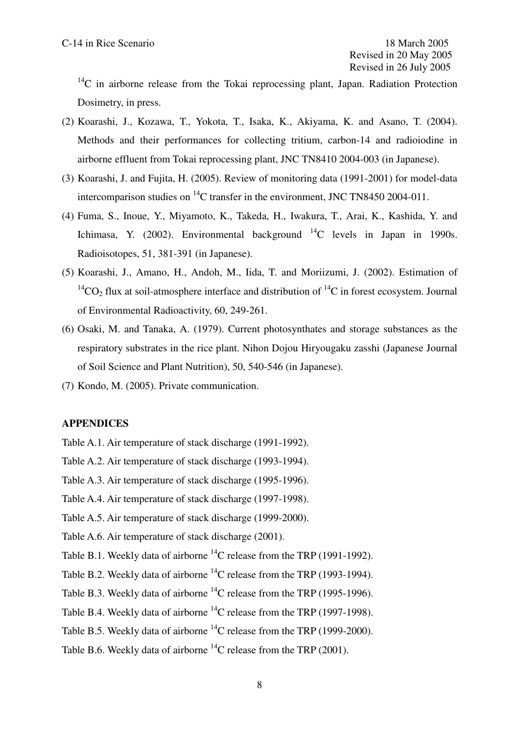$14^{\circ}$ C in airborne release from the Tokai reprocessing plant, Japan. Radiation Protection Dosimetry, in press.

- (2) Koarashi, J., Kozawa, T., Yokota, T., Isaka, K., Akiyama, K. and Asano, T. (2004). Methods and their performances for collecting tritium, carbon-14 and radioiodine in airborne effluent from Tokai reprocessing plant, JNC TN8410 2004-003 (in Japanese).
- (3) Koarashi, J. and Fujita, H. (2005). Review of monitoring data (1991-2001) for model-data intercomparison studies on  ${}^{14}C$  transfer in the environment, JNC TN8450 2004-011.
- (4) Fuma, S., Inoue, Y., Miyamoto, K., Takeda, H., Iwakura, T., Arai, K., Kashida, Y. and Ichimasa, Y. (2002). Environmental background  $^{14}$ C levels in Japan in 1990s. Radioisotopes, 51, 381-391 (in Japanese).
- (5) Koarashi, J., Amano, H., Andoh, M., Iida, T. and Moriizumi, J. (2002). Estimation of  ${}^{14}CO_2$  flux at soil-atmosphere interface and distribution of  ${}^{14}C$  in forest ecosystem. Journal of Environmental Radioactivity, 60, 249-261.
- (6) Osaki, M. and Tanaka, A. (1979). Current photosynthates and storage substances as the respiratory substrates in the rice plant. Nihon Dojou Hiryougaku zasshi (Japanese Journal of Soil Science and Plant Nutrition), 50, 540-546 (in Japanese).
- (7) Kondo, M. (2005). Private communication.

### **APPENDICES**

Table A.1. Air temperature of stack discharge (1991-1992).

Table A.2. Air temperature of stack discharge (1993-1994).

Table A.3. Air temperature of stack discharge (1995-1996).

Table A.4. Air temperature of stack discharge (1997-1998).

Table A.5. Air temperature of stack discharge (1999-2000).

Table A.6. Air temperature of stack discharge (2001).

- Table B.1. Weekly data of airborne  $^{14}$ C release from the TRP (1991-1992).
- Table B.2. Weekly data of airborne  $^{14}$ C release from the TRP (1993-1994).
- Table B.3. Weekly data of airborne  $^{14}$ C release from the TRP (1995-1996).
- Table B.4. Weekly data of airborne  $^{14}$ C release from the TRP (1997-1998).
- Table B.5. Weekly data of airborne  $^{14}$ C release from the TRP (1999-2000).
- Table B.6. Weekly data of airborne  $^{14}$ C release from the TRP (2001).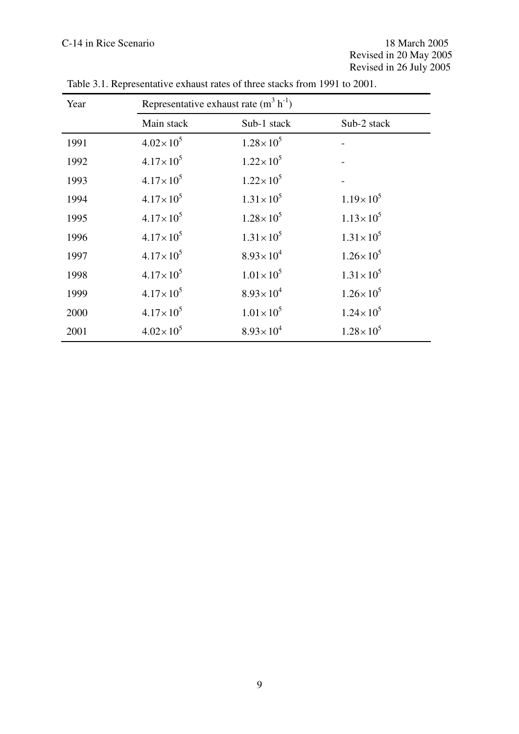| Year | Representative exhaust rate $(m^3 h^{-1})$ |                      |                      |  |  |  |
|------|--------------------------------------------|----------------------|----------------------|--|--|--|
|      | Main stack                                 | Sub-1 stack          | Sub-2 stack          |  |  |  |
| 1991 | $4.02 \times 10^{5}$                       | $1.28 \times 10^{5}$ |                      |  |  |  |
| 1992 | $4.17 \times 10^5$                         | $1.22 \times 10^5$   |                      |  |  |  |
| 1993 | $4.17 \times 10^5$                         | $1.22 \times 10^5$   |                      |  |  |  |
| 1994 | $4.17 \times 10^5$                         | $1.31 \times 10^5$   | $1.19 \times 10^{5}$ |  |  |  |
| 1995 | $4.17 \times 10^5$                         | $1.28 \times 10^5$   | $1.13 \times 10^5$   |  |  |  |
| 1996 | $4.17 \times 10^5$                         | $1.31 \times 10^5$   | $1.31 \times 10^{5}$ |  |  |  |
| 1997 | $4.17 \times 10^{5}$                       | $8.93 \times 10^{4}$ | $1.26 \times 10^5$   |  |  |  |
| 1998 | $4.17 \times 10^{5}$                       | $1.01 \times 10^{5}$ | $1.31 \times 10^{5}$ |  |  |  |
| 1999 | $4.17 \times 10^{5}$                       | $8.93 \times 10^{4}$ | $1.26 \times 10^{5}$ |  |  |  |
| 2000 | $4.17 \times 10^5$                         | $1.01 \times 10^{5}$ | $1.24 \times 10^{5}$ |  |  |  |
| 2001 | $4.02 \times 10^{5}$                       | $8.93 \times 10^{4}$ | $1.28 \times 10^{5}$ |  |  |  |

Table 3.1. Representative exhaust rates of three stacks from 1991 to 2001.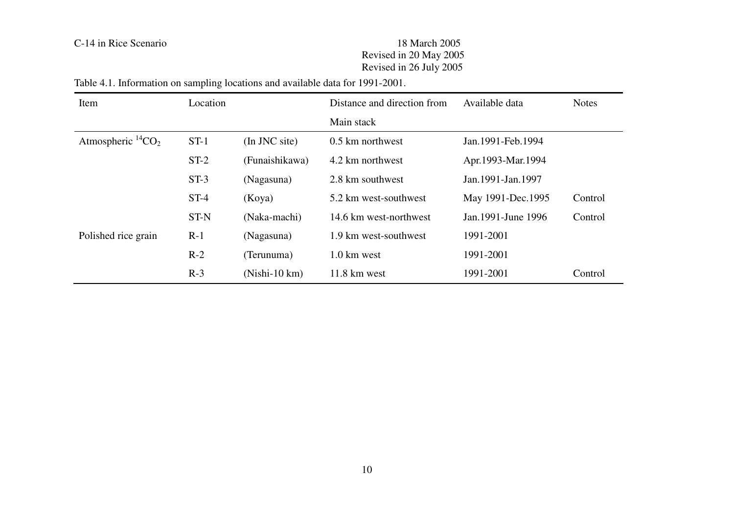Table 4.1. Information on sampling locations and available data for 1991-2001.

| Item                      | Location |                 | Distance and direction from | Available data        | <b>Notes</b> |
|---------------------------|----------|-----------------|-----------------------------|-----------------------|--------------|
|                           |          |                 | Main stack                  |                       |              |
| Atmospheric ${}^{14}CO_2$ | $ST-1$   | (In JNC site)   | 0.5 km northwest            | Jan. 1991 - Feb. 1994 |              |
|                           | $ST-2$   | (Funaishikawa)  | 4.2 km northwest            | Apr.1993-Mar.1994     |              |
|                           | $ST-3$   | (Nagasuna)      | 2.8 km southwest            | Jan. 1991 - Jan. 1997 |              |
|                           | $ST-4$   | (Koya)          | 5.2 km west-southwest       | May 1991-Dec.1995     | Control      |
|                           | ST-N     | (Naka-machi)    | 14.6 km west-northwest      | Jan. 1991 - June 1996 | Control      |
| Polished rice grain       | $R-1$    | (Nagasuna)      | 1.9 km west-southwest       | 1991-2001             |              |
|                           | $R-2$    | (Terunuma)      | $1.0 \text{ km}$ west       | 1991-2001             |              |
|                           | $R-3$    | $(Nishi-10 km)$ | $11.8 \text{ km}$ west      | 1991-2001             | Control      |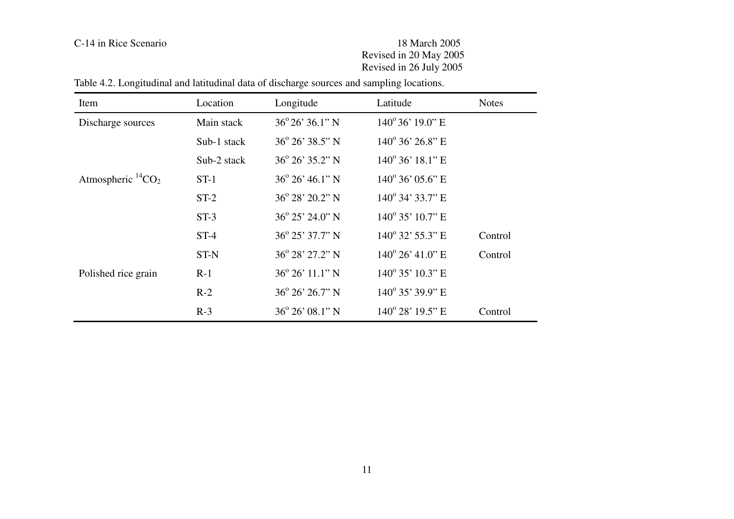| Item                      | Location    | Longitude                    | Latitude                     | <b>Notes</b> |
|---------------------------|-------------|------------------------------|------------------------------|--------------|
| Discharge sources         | Main stack  | $36^{\circ}26'36.1"$ N       | $140^{\circ}36'19.0"$ E      |              |
|                           | Sub-1 stack | $36^{\circ}$ $26'$ $38.5"$ N | $140^{\circ}$ 36' 26.8" E    |              |
|                           | Sub-2 stack | $36^{\circ}$ 26' 35.2" N     | $140^{\circ}$ 36' $18.1"$ E  |              |
| Atmospheric ${}^{14}CO_2$ | $ST-1$      | $36^{\circ}$ 26' 46.1" N     | $140^{\circ}$ 36' 05.6" E    |              |
|                           | $ST-2$      | $36^{\circ} 28' 20.2" N$     | $140^{\circ}$ 34' 33.7" E    |              |
|                           | $ST-3$      | $36^{\circ}$ 25' 24.0" N     | $140^{\circ}$ 35' $10.7$ " E |              |
|                           | $ST-4$      | $36^{\circ}$ 25' 37.7" N     | $140^{\circ}$ 32' 55.3" E    | Control      |
|                           | <b>ST-N</b> | $36^{\circ}$ 28' 27.2" N     | $140^{\circ}$ 26' 41.0" E    | Control      |
| Polished rice grain       | $R-1$       | $36^{\circ} 26' 11.1'' N$    | $140^{\circ}$ 35' $10.3"$ E  |              |
|                           | $R-2$       | $36^{\circ}$ 26' 26.7" N     | $140^{\circ}$ 35' 39.9" E    |              |
|                           | $R-3$       | $36^{\circ} 26' 08.1'' N$    | $140^{\circ}$ 28' $19.5$ " E | Control      |

Table 4.2. Longitudinal and latitudinal data of discharge sources and sampling locations.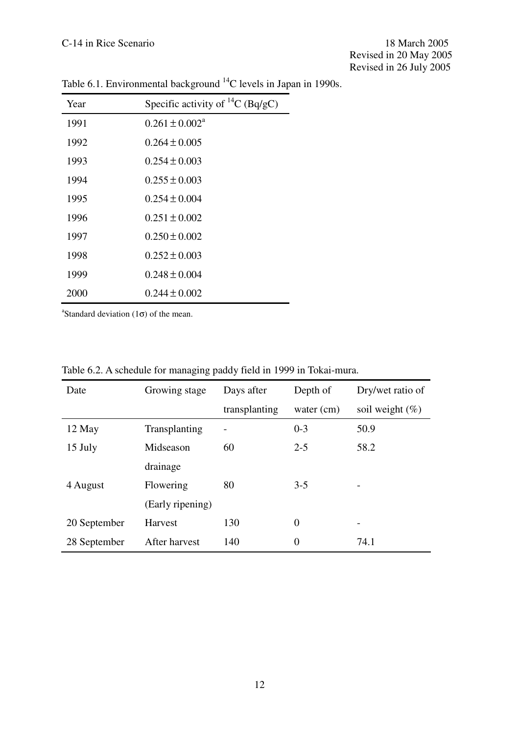| Year | Specific activity of ${}^{14}C$ (Bq/gC) |
|------|-----------------------------------------|
| 1991 | $0.261 \pm 0.002^{\text{a}}$            |
| 1992 | $0.264 \pm 0.005$                       |
| 1993 | $0.254 \pm 0.003$                       |
| 1994 | $0.255 \pm 0.003$                       |
| 1995 | $0.254 \pm 0.004$                       |
| 1996 | $0.251 \pm 0.002$                       |
| 1997 | $0.250 \pm 0.002$                       |
| 1998 | $0.252 \pm 0.003$                       |
| 1999 | $0.248 \pm 0.004$                       |
| 2000 | $0.244 \pm 0.002$                       |

Table 6.1. Environmental background <sup>14</sup>C levels in Japan in 1990s.

<sup>a</sup>Standard deviation ( $1\sigma$ ) of the mean.

| Date         | Growing stage    | Days after    | Depth of       | Dry/wet ratio of             |
|--------------|------------------|---------------|----------------|------------------------------|
|              |                  | transplanting | water $(cm)$   | soil weight $(\%)$           |
| 12 May       | Transplanting    |               | $0 - 3$        | 50.9                         |
| 15 July      | Midseason        | 60            | $2 - 5$        | 58.2                         |
|              | drainage         |               |                |                              |
| 4 August     | Flowering        | 80            | $3 - 5$        |                              |
|              | (Early ripening) |               |                |                              |
| 20 September | Harvest          | 130           | $\overline{0}$ | $\qquad \qquad \blacksquare$ |
| 28 September | After harvest    | 140           | $\theta$       | 74.1                         |

Table 6.2. A schedule for managing paddy field in 1999 in Tokai-mura.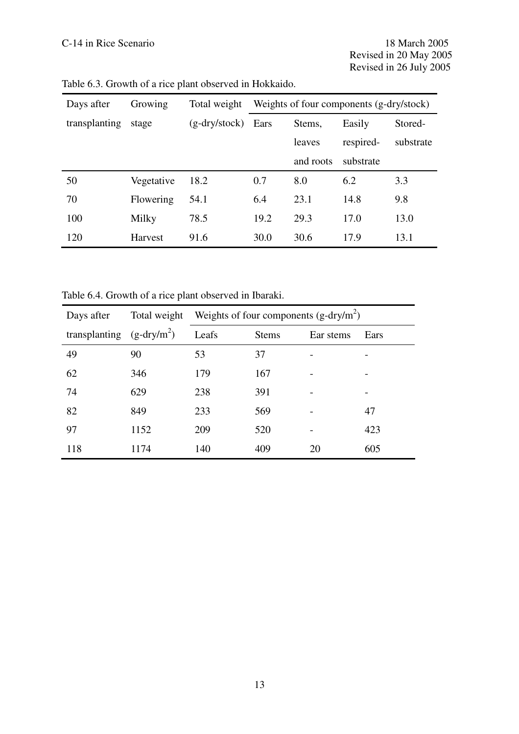| Days after    | Growing        | Total weight    | Weights of four components (g-dry/stock) |           |           |           |
|---------------|----------------|-----------------|------------------------------------------|-----------|-----------|-----------|
| transplanting | stage          | $(g-dry/stock)$ | Ears                                     | Stems,    | Easily    | Stored-   |
|               |                |                 |                                          | leaves    | respired- | substrate |
|               |                |                 |                                          | and roots | substrate |           |
| 50            | Vegetative     | 18.2            | 0.7                                      | 8.0       | 6.2       | 3.3       |
| 70            | Flowering      | 54.1            | 6.4                                      | 23.1      | 14.8      | 9.8       |
| 100           | Milky          | 78.5            | 19.2                                     | 29.3      | 17.0      | 13.0      |
| 120           | <b>Harvest</b> | 91.6            | 30.0                                     | 30.6      | 17.9      | 13.1      |

Table 6.3. Growth of a rice plant observed in Hokkaido.

Table 6.4. Growth of a rice plant observed in Ibaraki.

| Days after                  | Total weight | Weights of four components $(g-dry/m^2)$ |              |           |      |
|-----------------------------|--------------|------------------------------------------|--------------|-----------|------|
| transplanting $(g-dry/m^2)$ |              | Leafs                                    | <b>Stems</b> | Ear stems | Ears |
| 49                          | 90           | 53                                       | 37           |           |      |
| 62                          | 346          | 179                                      | 167          |           |      |
| 74                          | 629          | 238                                      | 391          |           |      |
| 82                          | 849          | 233                                      | 569          |           | 47   |
| 97                          | 1152         | 209                                      | 520          |           | 423  |
| 118                         | 1174         | 140                                      | 409          | 20        | 605  |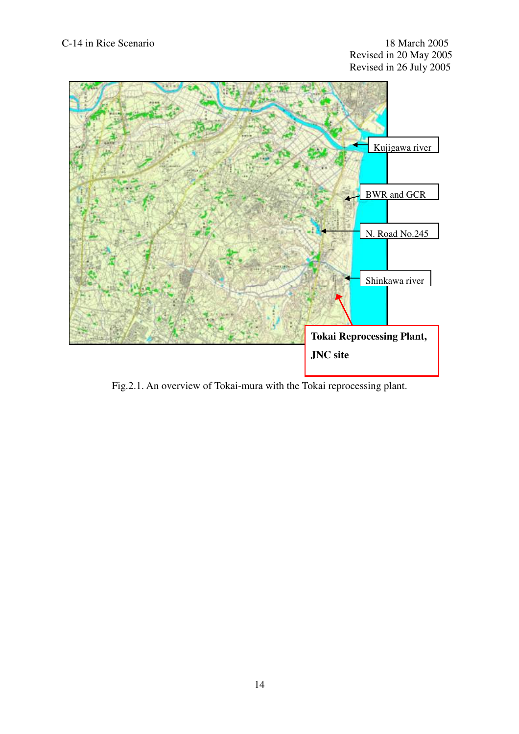

Fig.2.1. An overview of Tokai-mura with the Tokai reprocessing plant.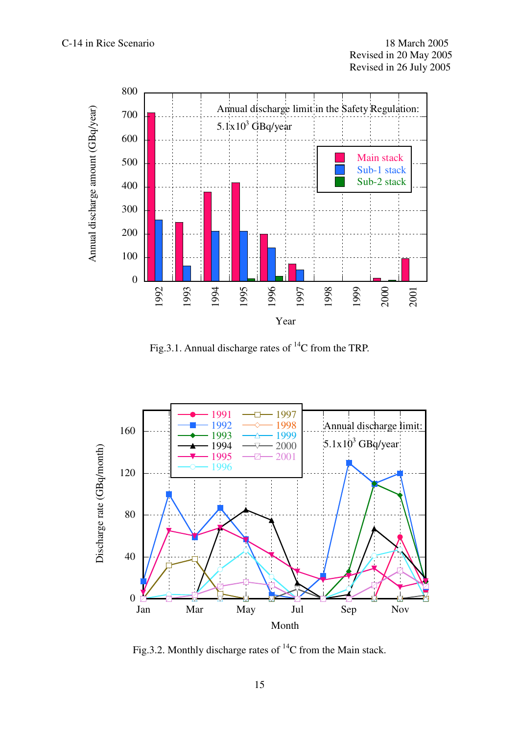

Fig.3.1. Annual discharge rates of  $^{14}C$  from the TRP.



Fig.3.2. Monthly discharge rates of  $^{14}C$  from the Main stack.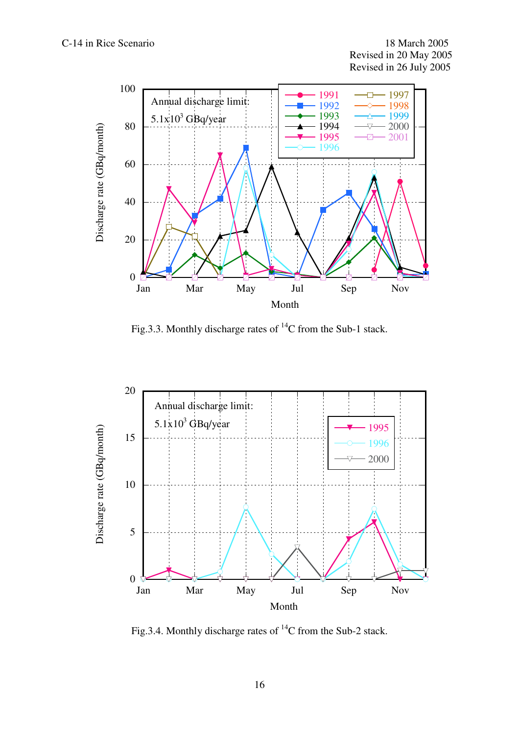

Fig.3.3. Monthly discharge rates of  $^{14}C$  from the Sub-1 stack.



Fig.3.4. Monthly discharge rates of  $^{14}$ C from the Sub-2 stack.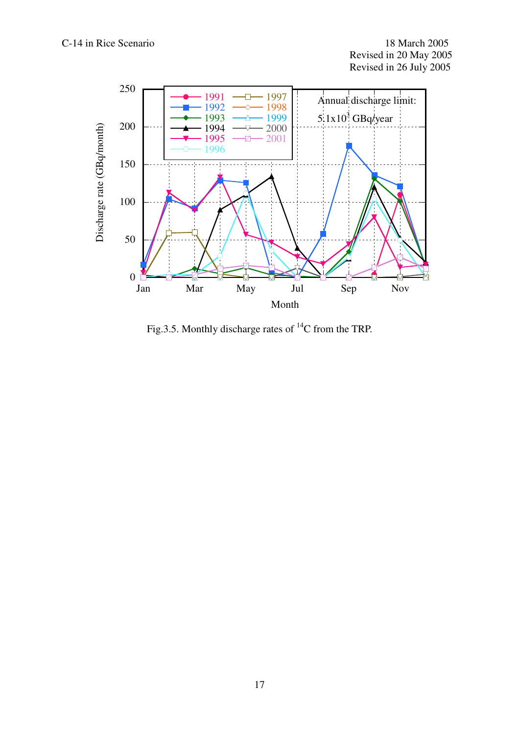

Fig.3.5. Monthly discharge rates of  $^{14}C$  from the TRP.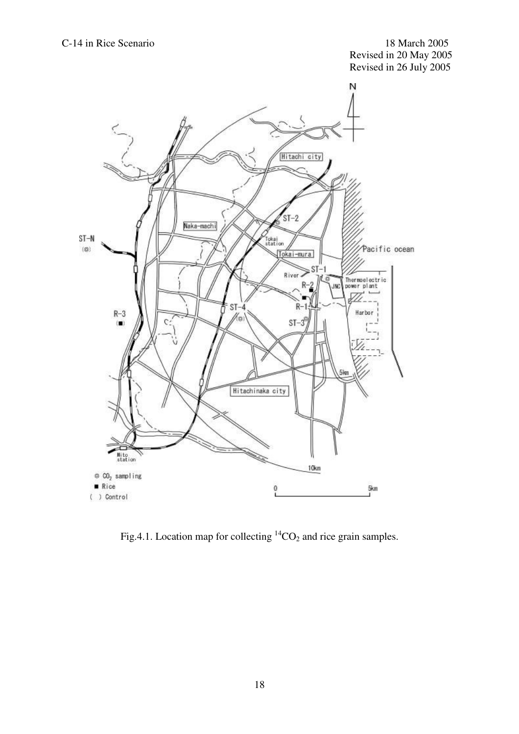

Fig.4.1. Location map for collecting  ${}^{14}CO_2$  and rice grain samples.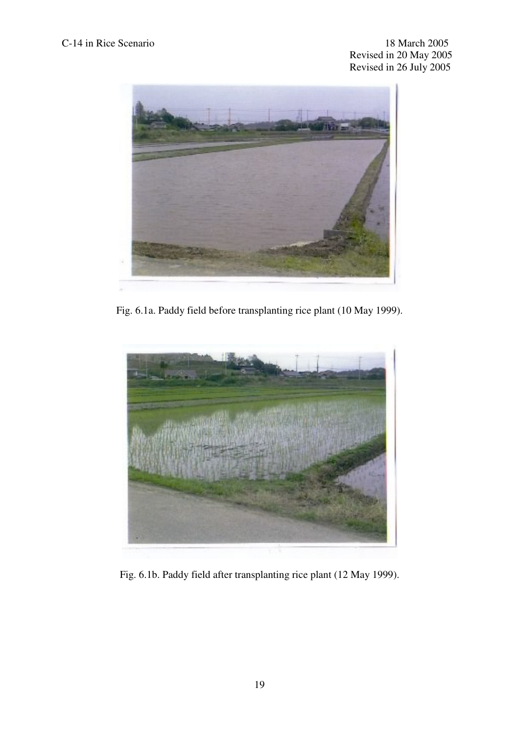

Fig. 6.1a. Paddy field before transplanting rice plant (10 May 1999).



Fig. 6.1b. Paddy field after transplanting rice plant (12 May 1999).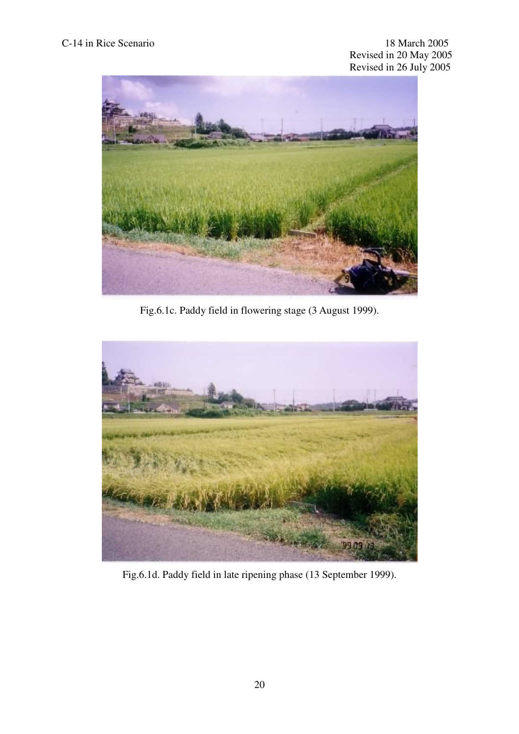

Fig.6.1c. Paddy field in flowering stage (3 August 1999).



Fig.6.1d. Paddy field in late ripening phase (13 September 1999).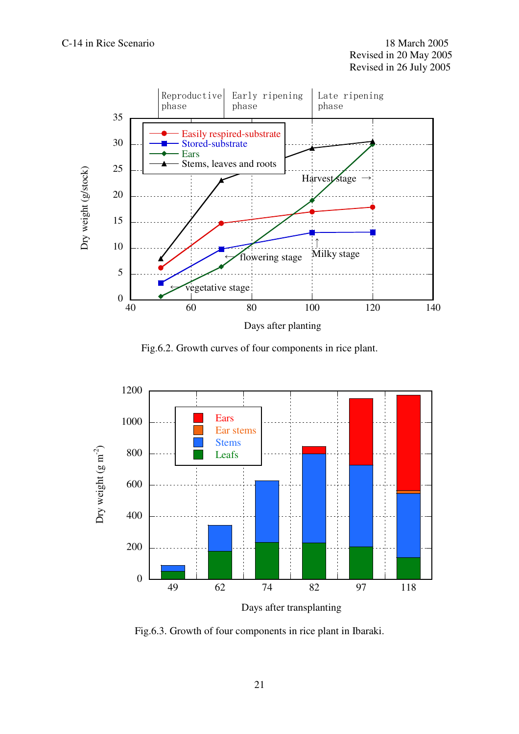

Fig.6.2. Growth curves of four components in rice plant.



Fig.6.3. Growth of four components in rice plant in Ibaraki.